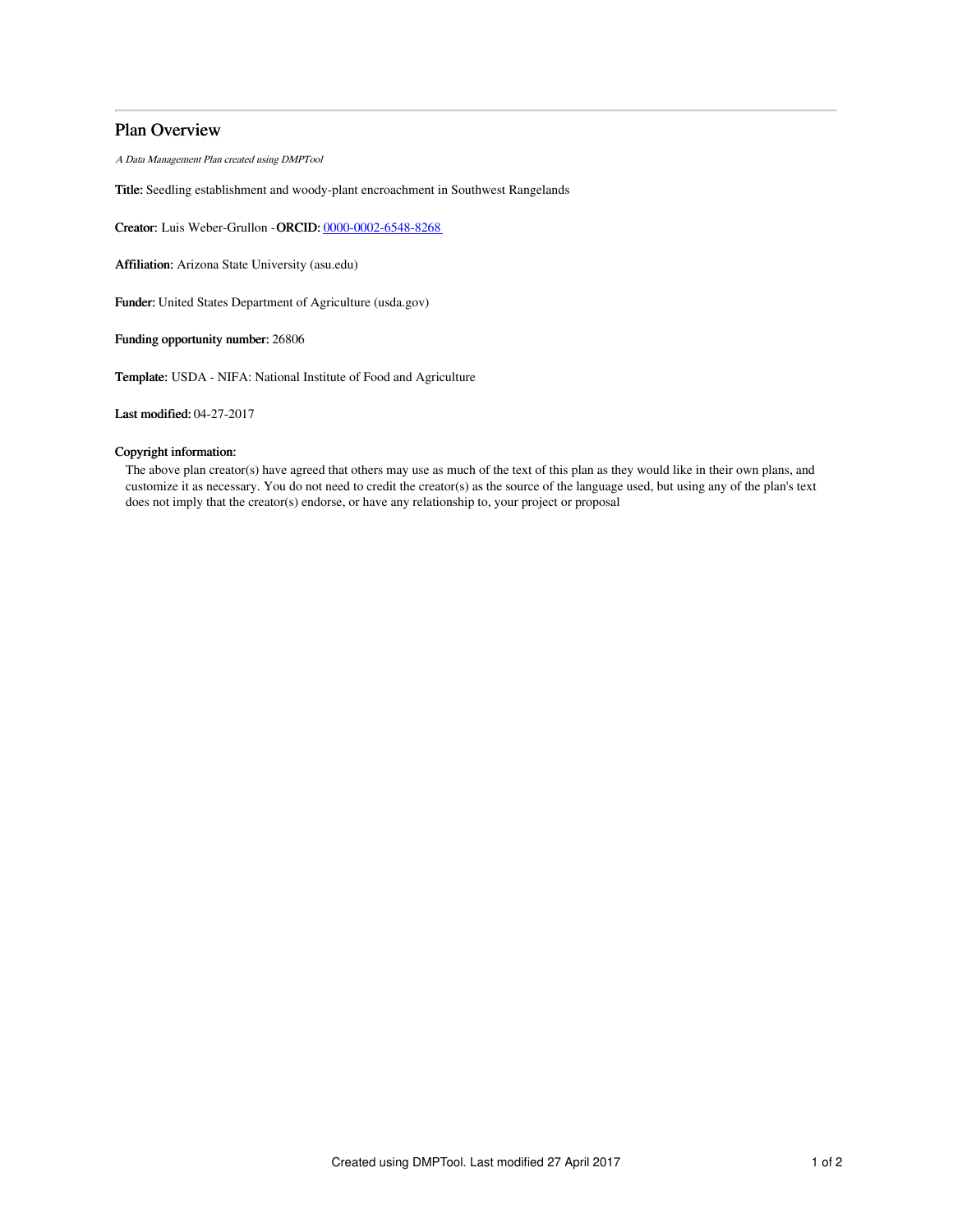# Plan Overview

A Data Management Plan created using DMPTool

Title: Seedling establishment and woody-plant encroachment in Southwest Rangelands

Creator: Luis Weber-Grullon -ORCID: [0000-0002-6548-8268](https://orcid.org/0000-0002-6548-8268)

Affiliation: Arizona State University (asu.edu)

Funder: United States Department of Agriculture (usda.gov)

Funding opportunity number: 26806

Template: USDA - NIFA: National Institute of Food and Agriculture

Last modified: 04-27-2017

## Copyright information:

The above plan creator(s) have agreed that others may use as much of the text of this plan as they would like in their own plans, and customize it as necessary. You do not need to credit the creator(s) as the source of the language used, but using any of the plan's text does not imply that the creator(s) endorse, or have any relationship to, your project or proposal